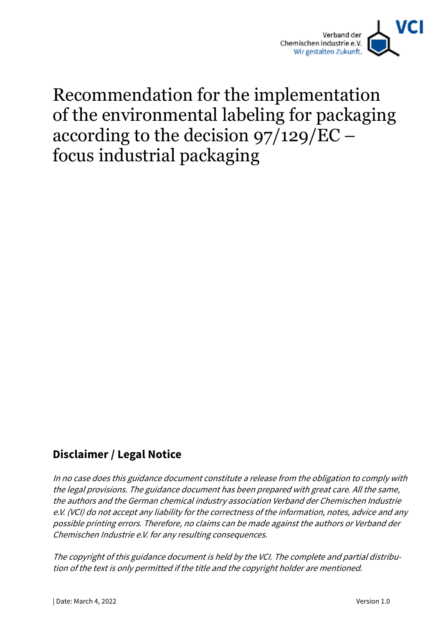

# Recommendation for the implementation of the environmental labeling for packaging according to the decision 97/129/EC – focus industrial packaging

### **Disclaimer / Legal Notice**

In no case does this guidance document constitute a release from the obligation to comply with the legal provisions. The guidance document has been prepared with great care. All the same, the authors and the German chemical industry association Verband der Chemischen Industrie e.V. (VCI) do not accept any liability for the correctness of the information, notes, advice and any possible printing errors. Therefore, no claims can be made against the authors or Verband der Chemischen Industrie e.V. for any resulting consequences.

The copyright of this guidance document is held by the VCI. The complete and partial distribution of the text is only permitted if the title and the copyright holder are mentioned.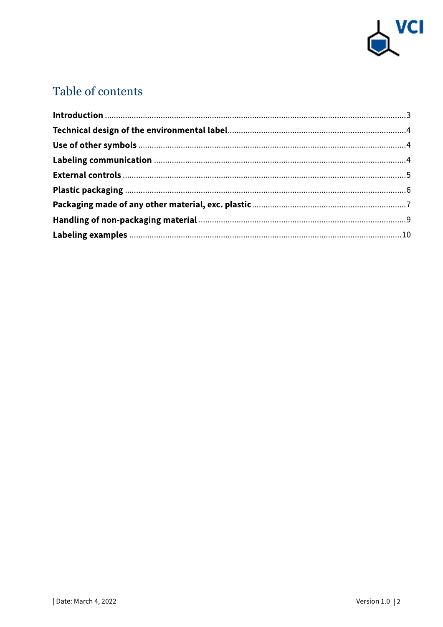

# Table of contents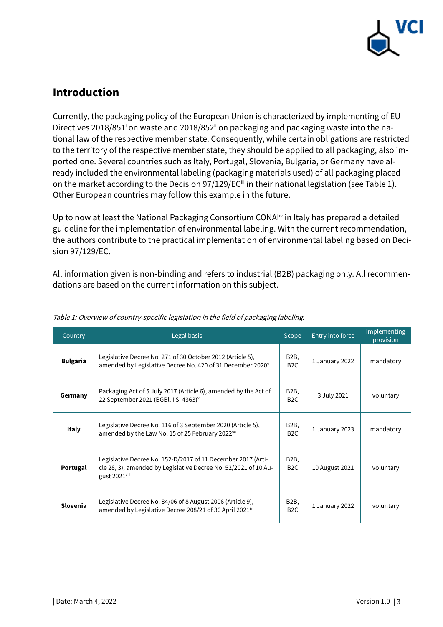

### **Introduction**

Currently, the packaging policy of the European Union is characterized by implementing of EU Directives 2018/851<sup>i</sup> on waste and 2018/852<sup>ii</sup> on packaging and packaging waste into the national law of the respective member state. Consequently, while certain obligations are restricted to the territory of the respective member state, they should be applied to all packaging, also imported one. Several countries such as Italy, Portugal, Slovenia, Bulgaria, or Germany have already included the environmental labeling (packaging materials used) of all packaging placed on the market according to the Decision 97/129/EC<sup>ii</sup> in their national legislation (see Table 1). Other European countries may follow this example in the future.

Up to now at least the National Packaging Consortium CONAI<sup>IV</sup> in Italy has prepared a detailed guideline for the implementation of environmental labeling. With the current recommendation, the authors contribute to the practical implementation of environmental labeling based on Decision 97/129/EC.

All information given is non-binding and refers to industrial (B2B) packaging only. All recommendations are based on the current information on this subject.

| Country         | Legal basis                                                                                                                                      | Scope                                             | Entry into force | Implementing<br>provision |
|-----------------|--------------------------------------------------------------------------------------------------------------------------------------------------|---------------------------------------------------|------------------|---------------------------|
| <b>Bulgaria</b> | Legislative Decree No. 271 of 30 October 2012 (Article 5),<br>amended by Legislative Decree No. 420 of 31 December 2020 <sup>v</sup>             | B2B,<br>B <sub>2</sub> C                          | 1 January 2022   | mandatory                 |
| Germany         | Packaging Act of 5 July 2017 (Article 6), amended by the Act of<br>22 September 2021 (BGBI, I S. 4363) <sup>vi</sup>                             | B <sub>2</sub> B,<br>B <sub>2</sub> C             | 3 July 2021      | voluntary                 |
| <b>Italy</b>    | Legislative Decree No. 116 of 3 September 2020 (Article 5),<br>amended by the Law No. 15 of 25 February 2022vii                                  | B2B,<br>B <sub>2</sub> C                          | 1 January 2023   | mandatory                 |
| Portugal        | Legislative Decree No. 152-D/2017 of 11 December 2017 (Arti-<br>cle 28, 3), amended by Legislative Decree No. 52/2021 of 10 Au-<br>gust 2021viii | B <sub>2</sub> B,<br>B <sub>2</sub> C             | 10 August 2021   | voluntary                 |
| Slovenia        | Legislative Decree No. 84/06 of 8 August 2006 (Article 9),<br>amended by Legislative Decree 208/21 of 30 April 2021 <sup>ix</sup>                | B <sub>2</sub> B <sub>,</sub><br>B <sub>2</sub> C | 1 January 2022   | voluntary                 |

#### Table 1: Overview of country-specific legislation in the field of packaging labeling.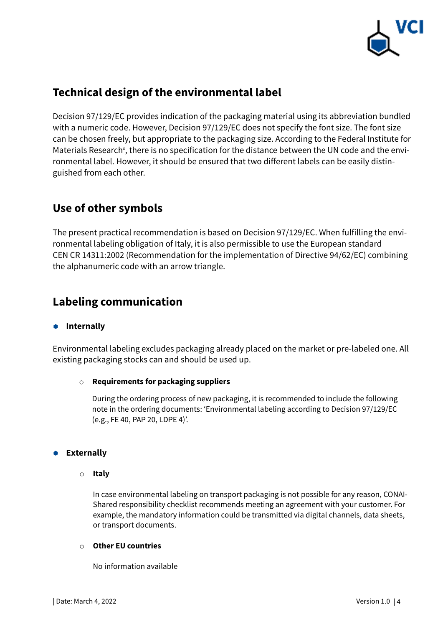

# **Technical design of the environmental label**

Decision 97/129/EC provides indication of the packaging material using its abbreviation bundled with a numeric code. However, Decision 97/129/EC does not specify the font size. The font size can be chosen freely, but appropriate to the packaging size. According to the Federal Institute for Materials Research<sup>x</sup>, there is no specification for the distance between the UN code and the environmental label. However, it should be ensured that two different labels can be easily distinguished from each other.

### **Use of other symbols**

The present practical recommendation is based on Decision 97/129/EC. When fulfilling the environmental labeling obligation of Italy, it is also permissible to use the European standard CEN CR 14311:2002 (Recommendation for the implementation of Directive 94/62/EC) combining the alphanumeric code with an arrow triangle.

# **Labeling communication**

#### $\bullet$  Internally

Environmental labeling excludes packaging already placed on the market or pre-labeled one. All existing packaging stocks can and should be used up.

#### o **Requirements for packaging suppliers**

During the ordering process of new packaging, it is recommended to include the following note in the ordering documents: 'Environmental labeling according to Decision 97/129/EC (e.g., FE 40, PAP 20, LDPE 4)'.

#### **Externally**

o **Italy** 

In case environmental labeling on transport packaging is not possible for any reason, CONAI-Shared responsibility checklist recommends meeting an agreement with your customer. For example, the mandatory information could be transmitted via digital channels, data sheets, or transport documents.

#### o **Other EU countries**

No information available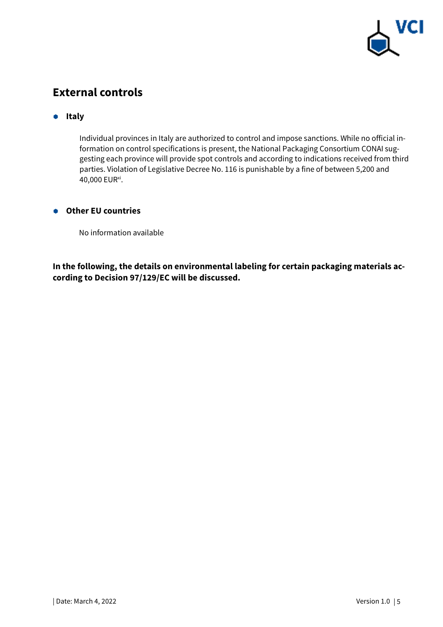

# **External controls**

#### $\bullet$  Italy

Individual provinces in Italy are authorized to control and impose sanctions. While no official information on control specifications is present, the National Packaging Consortium CONAI suggesting each province will provide spot controls and according to indications received from third parties. Violation of Legislative Decree No. 116 is punishable by a fine of between 5,200 and 40,000 EUR<sup>xi</sup>.

#### **Other EU countries**

No information available

**In the following, the details on environmental labeling for certain packaging materials according to Decision 97/129/EC will be discussed.**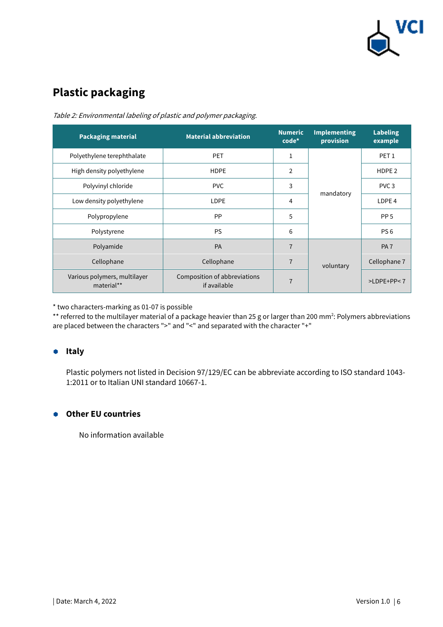

# **Plastic packaging**

| <b>Packaging material</b>                  | <b>Material abbreviation</b>                 | <b>Numeric</b><br>$code^*$ | <b>Implementing</b><br>provision | <b>Labeling</b><br>example |
|--------------------------------------------|----------------------------------------------|----------------------------|----------------------------------|----------------------------|
| Polyethylene terephthalate                 | <b>PET</b>                                   | 1                          |                                  | PET <sub>1</sub>           |
| High density polyethylene                  | <b>HDPE</b>                                  | 2                          | mandatory                        | HDPE <sub>2</sub>          |
| Polyvinyl chloride                         | <b>PVC</b>                                   | 3                          |                                  | PVC <sub>3</sub>           |
| Low density polyethylene                   | <b>LDPE</b>                                  | 4                          |                                  | LDPE <sub>4</sub>          |
| Polypropylene                              | <b>PP</b>                                    | 5                          |                                  | PP <sub>5</sub>            |
| Polystyrene                                | <b>PS</b>                                    | 6                          |                                  | PS <sub>6</sub>            |
| Polyamide                                  | <b>PA</b>                                    | $\overline{7}$             |                                  | PA <sub>7</sub>            |
| Cellophane                                 | Cellophane                                   | $\overline{7}$             | voluntary                        | Cellophane 7               |
| Various polymers, multilayer<br>material** | Composition of abbreviations<br>if available | $\overline{7}$             |                                  | $>$ LDPE+PP<7              |

Table 2: Environmental labeling of plastic and polymer packaging.

\* two characters-marking as 01-07 is possible

 $*$  referred to the multilayer material of a package heavier than 25 g or larger than 200 mm<sup>2</sup>: Polymers abbreviations are placed between the characters ">" and "<" and separated with the character "+"

#### **•** Italy

Plastic polymers not listed in Decision 97/129/EC can be abbreviate according to ISO standard 1043- 1:2011 or to Italian UNI standard 10667-1.

#### **Other EU countries**

No information available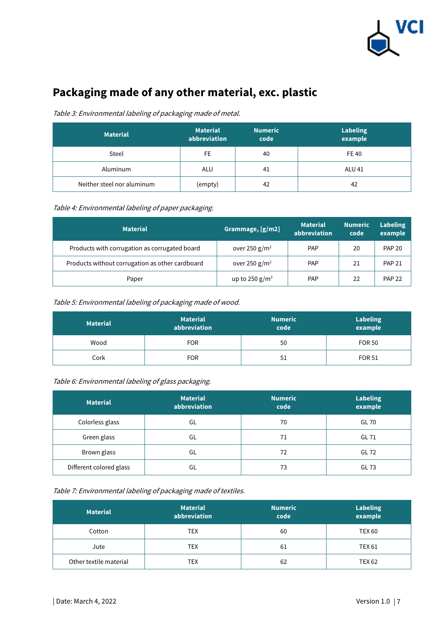

# **Packaging made of any other material, exc. plastic**

#### Table 3: Environmental labeling of packaging made of metal.

| <b>Material</b>            | <b>Material</b><br>abbreviation | <b>Numeric</b><br>code | <b>Labeling</b><br>example |
|----------------------------|---------------------------------|------------------------|----------------------------|
| Steel                      | FE                              | 40                     | <b>FE40</b>                |
| Aluminum                   | ALU                             | 41                     | <b>ALU 41</b>              |
| Neither steel nor aluminum | (empty)                         | 42                     | 42                         |

#### Table 4: Environmental labeling of paper packaging.

| <b>Material</b>                                 | Grammage, [g/m2]  | <b>Material</b><br>abbreviation | <b>Numeric</b><br>code | <b>Labeling</b><br>example |
|-------------------------------------------------|-------------------|---------------------------------|------------------------|----------------------------|
| Products with corrugation as corrugated board   | over 250 $g/m^2$  | PAP                             | 20                     | <b>PAP 20</b>              |
| Products without corrugation as other cardboard | over 250 $g/m^2$  | PAP                             | 21                     | <b>PAP 21</b>              |
| Paper                                           | up to 250 $g/m^2$ | <b>PAP</b>                      | 22                     | <b>PAP 22</b>              |

#### Table 5: Environmental labeling of packaging made of wood.

| <b>Material</b> | <b>Material</b><br>abbreviation | <b>Numeric</b><br>code | <b>Labeling</b><br>example |
|-----------------|---------------------------------|------------------------|----------------------------|
| Wood            | <b>FOR</b>                      | 50                     | <b>FOR 50</b>              |
| Cork            | <b>FOR</b>                      | 51                     | <b>FOR 51</b>              |

#### Table 6: Environmental labeling of glass packaging.

| <b>Material</b>         | <b>Material</b><br>abbreviation | <b>Numeric</b><br>code | <b>Labeling</b><br>example |
|-------------------------|---------------------------------|------------------------|----------------------------|
| Colorless glass         | GL                              | 70                     | GL 70                      |
| Green glass             | GL                              | 71                     | GL 71                      |
| Brown glass             | GL                              | 72                     | GL 72                      |
| Different colored glass | GL                              | 73                     | GL 73                      |

#### Table 7: Environmental labeling of packaging made of textiles.

| <b>Material</b>        | <b>Material</b><br>abbreviation | <b>Numeric</b><br>code | <b>Labeling</b><br>example |
|------------------------|---------------------------------|------------------------|----------------------------|
| Cotton                 | TEX                             | 60                     | <b>TEX 60</b>              |
| Jute                   | TEX                             | 61                     | TEX 61                     |
| Other textile material | TEX                             | 62                     | <b>TEX 62</b>              |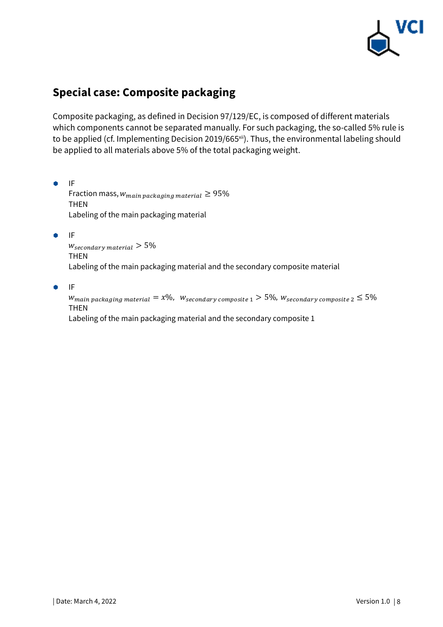

# **Special case: Composite packaging**

Composite packaging, as defined in Decision 97/129/EC, is composed of different materials which components cannot be separated manually. For such packaging, the so-called 5% rule is to be applied (cf. Implementing Decision 2019/665xii). Thus, the environmental labeling should be applied to all materials above 5% of the total packaging weight.

Fraction mass,  $w_{main\,packing\,material} \geq 95\%$ THEN Labeling of the main packaging material

 $\bullet$  IF

 $W_{secondary \; material} > 5\%$ THEN Labeling of the main packaging material and the secondary composite material

#### $\bullet$  IF

Wmain packaging material  $=x\%$ ,  $\;$  W<sub>secondary composite 1</sub>  $>$   $5\%$ , W<sub>secondary composite 2  $\leq$   $5\%$ </sub> THEN Labeling of the main packaging material and the secondary composite 1

 $\bullet$  IF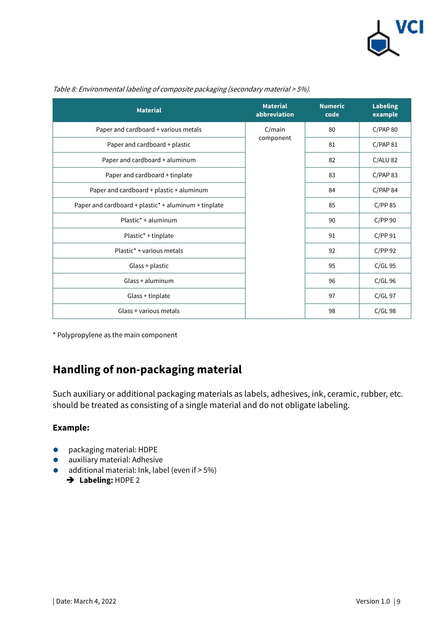

| <b>Material</b>                                      | <b>Material</b><br>abbreviation | <b>Numeric</b><br>code | <b>Labeling</b><br>example |
|------------------------------------------------------|---------------------------------|------------------------|----------------------------|
| Paper and cardboard + various metals                 | C/main                          | 80                     | C/PAP80                    |
| Paper and cardboard + plastic                        | component                       | 81                     | C/PAP 81                   |
| Paper and cardboard + aluminum                       |                                 | 82                     | $C/ALU$ 82                 |
| Paper and cardboard + tinplate                       |                                 | 83                     | C/PAP 83                   |
| Paper and cardboard + plastic + aluminum             |                                 | 84                     | C/PAP 84                   |
| Paper and cardboard + plastic* + aluminum + tinplate |                                 | 85                     | C/PP85                     |
| Plastic <sup>*</sup> + aluminum                      |                                 | 90                     | C/PP90                     |
| Plastic* + tinplate                                  |                                 | 91                     | C/PP91                     |
| Plastic <sup>*</sup> + various metals                |                                 | 92                     | C/PP 92                    |
| Glass + plastic                                      |                                 | 95                     | $C/GL$ 95                  |
| Glass + aluminum                                     |                                 | 96                     | $C/GL$ 96                  |
| Glass + tinplate                                     |                                 | 97                     | $C/GL$ 97                  |
| Glass + various metals                               |                                 | 98                     | $C/GL$ 98                  |

Table 8: Environmental labeling of composite packaging (secondary material > 5%).

\* Polypropylene as the main component

### **Handling of non-packaging material**

Such auxiliary or additional packaging materials as labels, adhesives, ink, ceramic, rubber, etc. should be treated as consisting of a single material and do not obligate labeling.

#### **Example:**

- packaging material: HDPE
- **a** auxiliary material: Adhesive
- $\bullet$  additional material: Ink, label (even if  $> 5\%$ )
	- → Labeling: HDPE 2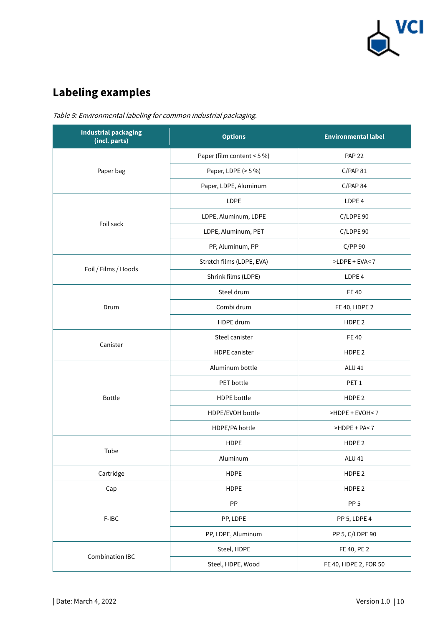

# **Labeling examples**

| <b>Industrial packaging</b><br>(incl. parts) | <b>Options</b>             | <b>Environmental label</b> |
|----------------------------------------------|----------------------------|----------------------------|
|                                              | Paper (film content < 5 %) | <b>PAP 22</b>              |
| Paper bag                                    | Paper, LDPE (> 5 %)        | C/PAP 81                   |
|                                              | Paper, LDPE, Aluminum      | C/PAP 84                   |
|                                              | LDPE                       | LDPE 4                     |
|                                              | LDPE, Aluminum, LDPE       | C/LDPE 90                  |
| Foil sack                                    | LDPE, Aluminum, PET        | C/LDPE 90                  |
|                                              | PP, Aluminum, PP           | C/PP90                     |
|                                              | Stretch films (LDPE, EVA)  | >LDPE + EVA<7              |
| Foil / Films / Hoods                         | Shrink films (LDPE)        | LDPE <sub>4</sub>          |
|                                              | Steel drum                 | <b>FE40</b>                |
| Drum                                         | Combi drum                 | FE 40, HDPE 2              |
|                                              | HDPE drum                  | HDPE <sub>2</sub>          |
| Canister                                     | Steel canister             | <b>FE40</b>                |
|                                              | <b>HDPE</b> canister       | HDPE <sub>2</sub>          |
|                                              | Aluminum bottle            | <b>ALU 41</b>              |
|                                              | PET bottle                 | PET <sub>1</sub>           |
| <b>Bottle</b>                                | <b>HDPE</b> bottle         | HDPE <sub>2</sub>          |
|                                              | HDPE/EVOH bottle           | >HDPE + EVOH<7             |
|                                              | HDPE/PA bottle             | >HDPE + PA<7               |
| Tube                                         | <b>HDPE</b>                | HDPE <sub>2</sub>          |
|                                              | Aluminum                   | <b>ALU 41</b>              |
| Cartridge                                    | <b>HDPE</b>                | HDPE <sub>2</sub>          |
| Cap                                          | <b>HDPE</b>                | HDPE <sub>2</sub>          |
|                                              | PP                         | PP <sub>5</sub>            |
| F-IBC                                        | PP, LDPE                   | PP 5, LDPE 4               |
|                                              | PP, LDPE, Aluminum         | PP 5, C/LDPE 90            |
|                                              | Steel, HDPE                | FE 40, PE 2                |
| <b>Combination IBC</b>                       | Steel, HDPE, Wood          | FE 40, HDPE 2, FOR 50      |

Table 9: Environmental labeling for common industrial packaging.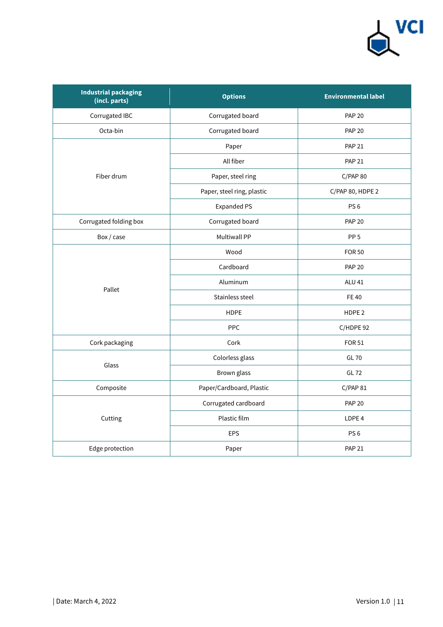

| <b>Industrial packaging</b><br>(incl. parts) | <b>Options</b>             | <b>Environmental label</b> |
|----------------------------------------------|----------------------------|----------------------------|
| Corrugated IBC                               | Corrugated board           | <b>PAP 20</b>              |
| Octa-bin                                     | Corrugated board           | <b>PAP 20</b>              |
|                                              | Paper                      | <b>PAP 21</b>              |
|                                              | All fiber                  | <b>PAP 21</b>              |
| Fiber drum                                   | Paper, steel ring          | C/PAP80                    |
|                                              | Paper, steel ring, plastic | C/PAP 80, HDPE 2           |
|                                              | <b>Expanded PS</b>         | PS <sub>6</sub>            |
| Corrugated folding box                       | Corrugated board           | <b>PAP 20</b>              |
| Box / case                                   | <b>Multiwall PP</b>        | PP <sub>5</sub>            |
|                                              | Wood                       | <b>FOR 50</b>              |
|                                              | Cardboard                  | <b>PAP 20</b>              |
| Pallet                                       | Aluminum                   | <b>ALU 41</b>              |
|                                              | Stainless steel            | <b>FE40</b>                |
|                                              | <b>HDPE</b>                | HDPE <sub>2</sub>          |
|                                              | <b>PPC</b>                 | C/HDPE 92                  |
| Cork packaging                               | Cork                       | <b>FOR 51</b>              |
| Glass                                        | Colorless glass            | <b>GL 70</b>               |
|                                              | Brown glass                | <b>GL 72</b>               |
| Composite                                    | Paper/Cardboard, Plastic   | C/PAP 81                   |
|                                              | Corrugated cardboard       | <b>PAP 20</b>              |
| Cutting                                      | Plastic film               | LDPE <sub>4</sub>          |
|                                              | <b>EPS</b>                 | PS <sub>6</sub>            |
| Edge protection                              | Paper                      | <b>PAP 21</b>              |